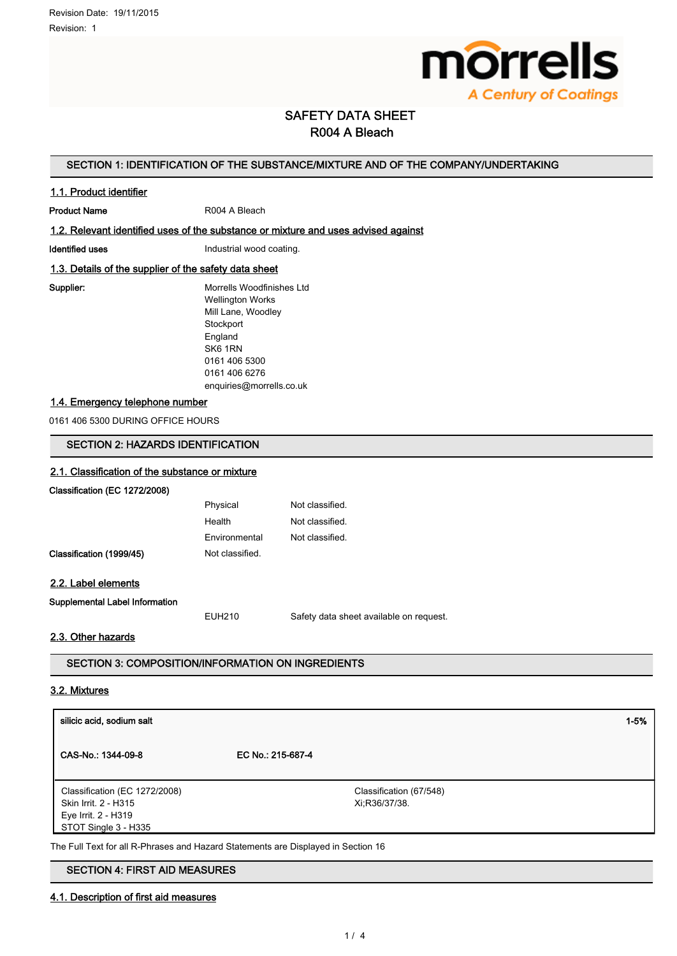

# SAFETY DATA SHEET R004 A Bleach

## SECTION 1: IDENTIFICATION OF THE SUBSTANCE/MIXTURE AND OF THE COMPANY/UNDERTAKING

### 1.1. Product identifier

Product Name R004 A Bleach

## 1.2. Relevant identified uses of the substance or mixture and uses advised against

Identified uses **Industrial wood coating.** 

## 1.3. Details of the supplier of the safety data sheet

Supplier: Morrells Woodfinishes Ltd Wellington Works Mill Lane, Woodley **Stockport** England SK6 1RN 0161 406 5300 0161 406 6276 enquiries@morrells.co.uk

### 1.4. Emergency telephone number

0161 406 5300 DURING OFFICE HOURS

## SECTION 2: HAZARDS IDENTIFICATION

### 2.1. Classification of the substance or mixture

Classification (EC 1272/2008)

|                                | Physical        | Not classified.                         |
|--------------------------------|-----------------|-----------------------------------------|
|                                | Health          | Not classified.                         |
|                                | Environmental   | Not classified.                         |
| Classification (1999/45)       | Not classified. |                                         |
| 2.2. Label elements            |                 |                                         |
| Supplemental Label Information |                 |                                         |
|                                | <b>EUH210</b>   | Safety data sheet available on request. |

## 2.3. Other hazards

SECTION 3: COMPOSITION/INFORMATION ON INGREDIENTS

#### 3.2. Mixtures

| silicic acid, sodium salt                                                                            |                                          | $1 - 5%$ |
|------------------------------------------------------------------------------------------------------|------------------------------------------|----------|
| CAS-No.: 1344-09-8                                                                                   | EC No.: 215-687-4                        |          |
| Classification (EC 1272/2008)<br>Skin Irrit. 2 - H315<br>Eye Irrit. 2 - H319<br>STOT Single 3 - H335 | Classification (67/548)<br>Xi:R36/37/38. |          |
| The Full Text for all R-Phrases and Hazard Statements are Displayed in Section 16                    |                                          |          |

## SECTION 4: FIRST AID MEASURES

### 4.1. Description of first aid measures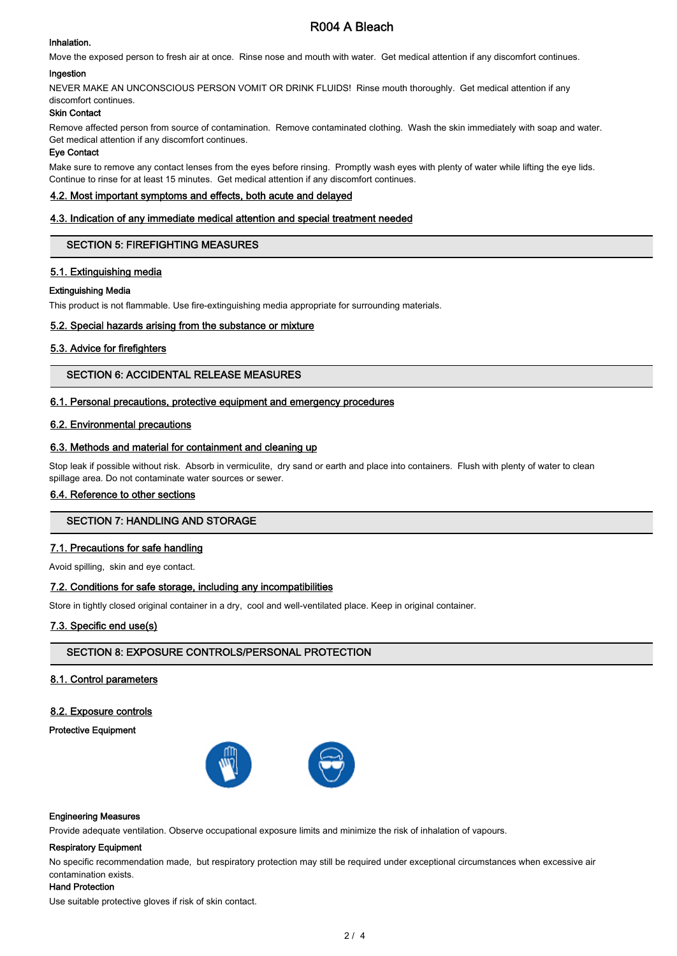#### Inhalation.

# R004 A Bleach

Move the exposed person to fresh air at once. Rinse nose and mouth with water. Get medical attention if any discomfort continues.

### Ingestion

NEVER MAKE AN UNCONSCIOUS PERSON VOMIT OR DRINK FLUIDS! Rinse mouth thoroughly. Get medical attention if any discomfort continues.

## Skin Contact

Remove affected person from source of contamination. Remove contaminated clothing. Wash the skin immediately with soap and water. Get medical attention if any discomfort continues.

### Eye Contact

Make sure to remove any contact lenses from the eyes before rinsing. Promptly wash eyes with plenty of water while lifting the eye lids. Continue to rinse for at least 15 minutes. Get medical attention if any discomfort continues.

### 4.2. Most important symptoms and effects, both acute and delayed

### 4.3. Indication of any immediate medical attention and special treatment needed

## SECTION 5: FIREFIGHTING MEASURES

## 5.1. Extinguishing media

### Extinguishing Media

This product is not flammable. Use fire-extinguishing media appropriate for surrounding materials.

## 5.2. Special hazards arising from the substance or mixture

## 5.3. Advice for firefighters

## SECTION 6: ACCIDENTAL RELEASE MEASURES

## 6.1. Personal precautions, protective equipment and emergency procedures

## 6.2. Environmental precautions

## 6.3. Methods and material for containment and cleaning up

Stop leak if possible without risk. Absorb in vermiculite, dry sand or earth and place into containers. Flush with plenty of water to clean spillage area. Do not contaminate water sources or sewer.

## 6.4. Reference to other sections

# SECTION 7: HANDLING AND STORAGE

## 7.1. Precautions for safe handling

Avoid spilling, skin and eye contact.

## 7.2. Conditions for safe storage, including any incompatibilities

Store in tightly closed original container in a dry, cool and well-ventilated place. Keep in original container.

## 7.3. Specific end use(s)

## SECTION 8: EXPOSURE CONTROLS/PERSONAL PROTECTION

#### 8.1. Control parameters

## 8.2. Exposure controls

#### Protective Equipment



#### Engineering Measures

Provide adequate ventilation. Observe occupational exposure limits and minimize the risk of inhalation of vapours.

#### Respiratory Equipment

No specific recommendation made, but respiratory protection may still be required under exceptional circumstances when excessive air contamination exists.

## Hand Protection

Use suitable protective gloves if risk of skin contact.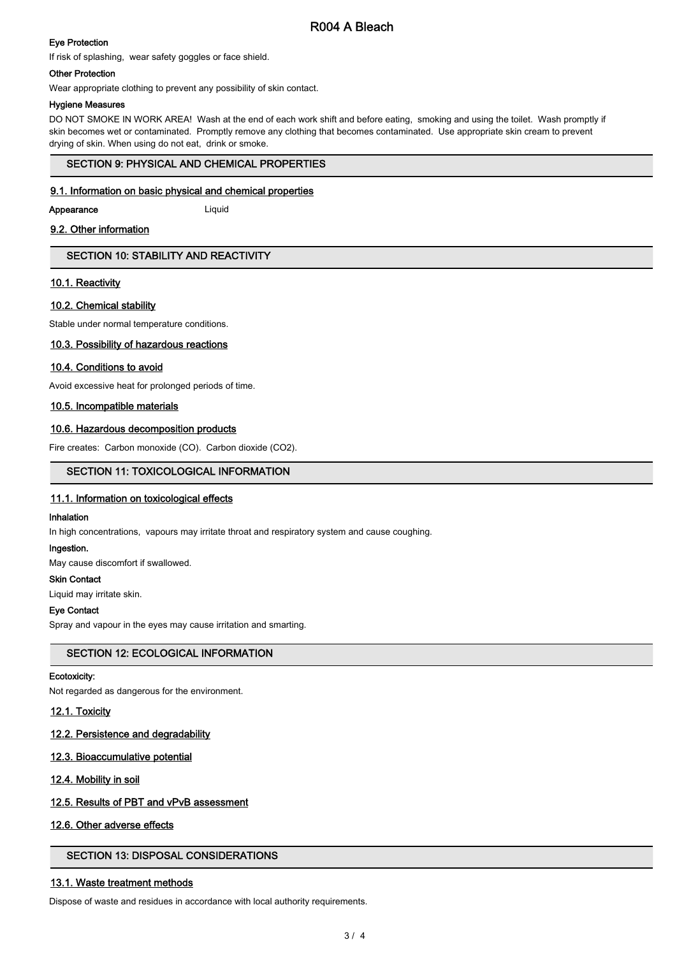# R004 A Bleach

## Eye Protection

If risk of splashing, wear safety goggles or face shield.

#### Other Protection

Wear appropriate clothing to prevent any possibility of skin contact.

#### Hygiene Measures

DO NOT SMOKE IN WORK AREA! Wash at the end of each work shift and before eating, smoking and using the toilet. Wash promptly if skin becomes wet or contaminated. Promptly remove any clothing that becomes contaminated. Use appropriate skin cream to prevent drying of skin. When using do not eat, drink or smoke.

## SECTION 9: PHYSICAL AND CHEMICAL PROPERTIES

### 9.1. Information on basic physical and chemical properties

#### Appearance Liquid

### 9.2. Other information

## SECTION 10: STABILITY AND REACTIVITY

### 10.1. Reactivity

### 10.2. Chemical stability

Stable under normal temperature conditions.

#### 10.3. Possibility of hazardous reactions

### 10.4. Conditions to avoid

Avoid excessive heat for prolonged periods of time.

### 10.5. Incompatible materials

### 10.6. Hazardous decomposition products

Fire creates: Carbon monoxide (CO). Carbon dioxide (CO2).

### SECTION 11: TOXICOLOGICAL INFORMATION

#### 11.1. Information on toxicological effects

#### Inhalation

In high concentrations, vapours may irritate throat and respiratory system and cause coughing.

#### Ingestion.

May cause discomfort if swallowed.

#### Skin Contact

Liquid may irritate skin.

### Eye Contact

Spray and vapour in the eyes may cause irritation and smarting.

## SECTION 12: ECOLOGICAL INFORMATION

#### Ecotoxicity:

Not regarded as dangerous for the environment.

### 12.1. Toxicity

### 12.2. Persistence and degradability

#### 12.3. Bioaccumulative potential

#### 12.4. Mobility in soil

## 12.5. Results of PBT and vPvB assessment

#### 12.6. Other adverse effects

# SECTION 13: DISPOSAL CONSIDERATIONS

## 13.1. Waste treatment methods

Dispose of waste and residues in accordance with local authority requirements.